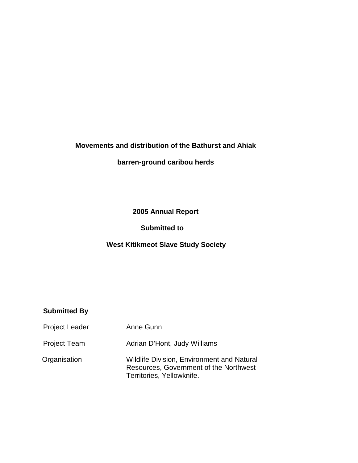# **Movements and distribution of the Bathurst and Ahiak**

## **barren-ground caribou herds**

# **2005 Annual Report**

### **Submitted to**

## **West Kitikmeot Slave Study Society**

### **Submitted By**

| <b>Project Leader</b> | Anne Gunn                                                                                                                |
|-----------------------|--------------------------------------------------------------------------------------------------------------------------|
| <b>Project Team</b>   | Adrian D'Hont, Judy Williams                                                                                             |
| Organisation          | <b>Wildlife Division, Environment and Natural</b><br>Resources, Government of the Northwest<br>Territories, Yellowknife. |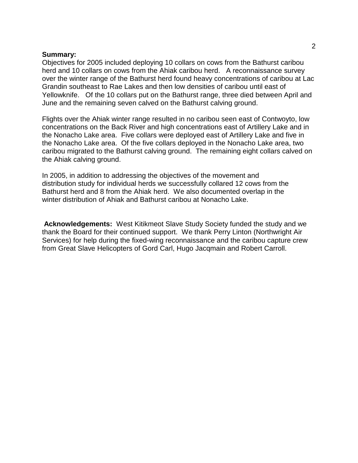#### **Summary:**

Objectives for 2005 included deploying 10 collars on cows from the Bathurst caribou herd and 10 collars on cows from the Ahiak caribou herd. A reconnaissance survey over the winter range of the Bathurst herd found heavy concentrations of caribou at Lac Grandin southeast to Rae Lakes and then low densities of caribou until east of Yellowknife. Of the 10 collars put on the Bathurst range, three died between April and June and the remaining seven calved on the Bathurst calving ground.

Flights over the Ahiak winter range resulted in no caribou seen east of Contwoyto, low concentrations on the Back River and high concentrations east of Artillery Lake and in the Nonacho Lake area. Five collars were deployed east of Artillery Lake and five in the Nonacho Lake area. Of the five collars deployed in the Nonacho Lake area, two caribou migrated to the Bathurst calving ground. The remaining eight collars calved on the Ahiak calving ground.

In 2005, in addition to addressing the objectives of the movement and distribution study for individual herds we successfully collared 12 cows from the Bathurst herd and 8 from the Ahiak herd. We also documented overlap in the winter distribution of Ahiak and Bathurst caribou at Nonacho Lake.

 **Acknowledgements:** West Kitikmeot Slave Study Society funded the study and we thank the Board for their continued support. We thank Perry Linton (Northwright Air Services) for help during the fixed-wing reconnaissance and the caribou capture crew from Great Slave Helicopters of Gord Carl, Hugo Jacqmain and Robert Carroll.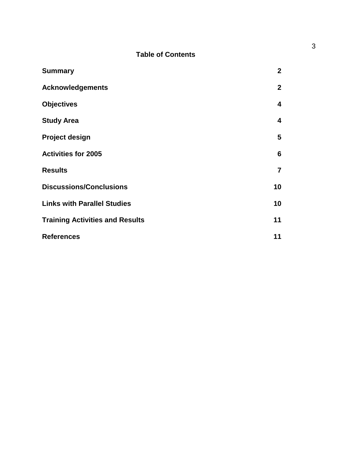## **Table of Contents**

| <b>Summary</b>                         | $\mathbf{2}$            |
|----------------------------------------|-------------------------|
| <b>Acknowledgements</b>                | $\mathbf{2}$            |
| <b>Objectives</b>                      | $\overline{\mathbf{4}}$ |
| <b>Study Area</b>                      | $\overline{\mathbf{4}}$ |
| <b>Project design</b>                  | 5                       |
| <b>Activities for 2005</b>             | 6                       |
| <b>Results</b>                         | $\overline{7}$          |
| <b>Discussions/Conclusions</b>         | 10                      |
| <b>Links with Parallel Studies</b>     | 10                      |
| <b>Training Activities and Results</b> | 11                      |
| <b>References</b>                      | 11                      |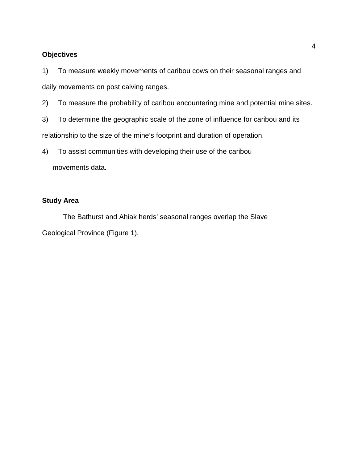#### **Objectives**

1) To measure weekly movements of caribou cows on their seasonal ranges and daily movements on post calving ranges.

2) To measure the probability of caribou encountering mine and potential mine sites.

3) To determine the geographic scale of the zone of influence for caribou and its

relationship to the size of the mine's footprint and duration of operation.

4) To assist communities with developing their use of the caribou

movements data.

## **Study Area**

 The Bathurst and Ahiak herds' seasonal ranges overlap the Slave Geological Province (Figure 1).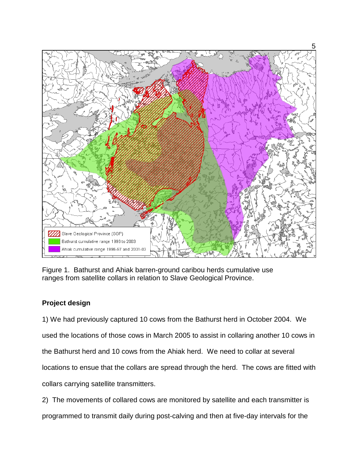

Figure 1. Bathurst and Ahiak barren-ground caribou herds cumulative use ranges from satellite collars in relation to Slave Geological Province.

# **Project design**

1) We had previously captured 10 cows from the Bathurst herd in October 2004. We used the locations of those cows in March 2005 to assist in collaring another 10 cows in the Bathurst herd and 10 cows from the Ahiak herd. We need to collar at several locations to ensue that the collars are spread through the herd. The cows are fitted with collars carrying satellite transmitters.

2) The movements of collared cows are monitored by satellite and each transmitter is programmed to transmit daily during post-calving and then at five-day intervals for the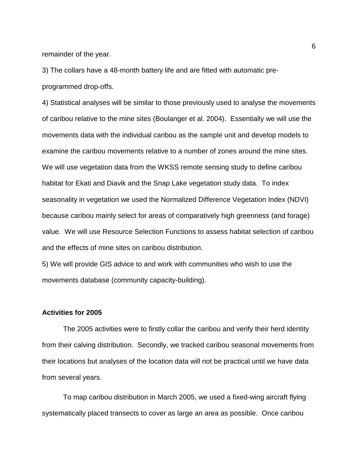remainder of the year.

3) The collars have a 48-month battery life and are fitted with automatic pre-

programmed drop-offs.

4) Statistical analyses will be similar to those previously used to analyse the movements of caribou relative to the mine sites (Boulanger et al. 2004). Essentially we will use the movements data with the individual caribou as the sample unit and develop models to examine the caribou movements relative to a number of zones around the mine sites. We will use vegetation data from the WKSS remote sensing study to define caribou habitat for Ekati and Diavik and the Snap Lake vegetation study data. To index seasonality in vegetation we used the Normalized Difference Vegetation Index (NDVI) because caribou mainly select for areas of comparatively high greenness (and forage) value. We will use Resource Selection Functions to assess habitat selection of caribou and the effects of mine sites on caribou distribution.

5) We will provide GIS advice to and work with communities who wish to use the movements database (community capacity-building).

#### **Activities for 2005**

The 2005 activities were to firstly collar the caribou and verify their herd identity from their calving distribution. Secondly, we tracked caribou seasonal movements from their locations but analyses of the location data will not be practical until we have data from several years.

To map caribou distribution in March 2005, we used a fixed-wing aircraft flying systematically placed transects to cover as large an area as possible. Once caribou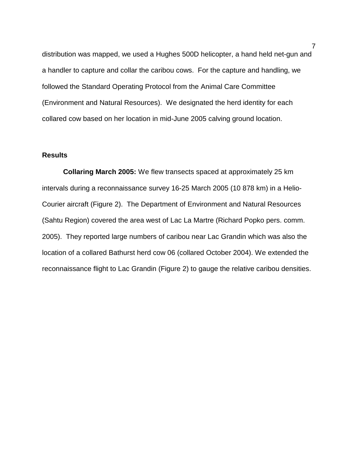distribution was mapped, we used a Hughes 500D helicopter, a hand held net-gun and a handler to capture and collar the caribou cows. For the capture and handling, we followed the Standard Operating Protocol from the Animal Care Committee (Environment and Natural Resources). We designated the herd identity for each collared cow based on her location in mid-June 2005 calving ground location.

#### **Results**

**Collaring March 2005:** We flew transects spaced at approximately 25 km intervals during a reconnaissance survey 16-25 March 2005 (10 878 km) in a Helio-Courier aircraft (Figure 2). The Department of Environment and Natural Resources (Sahtu Region) covered the area west of Lac La Martre (Richard Popko pers. comm. 2005). They reported large numbers of caribou near Lac Grandin which was also the location of a collared Bathurst herd cow 06 (collared October 2004). We extended the reconnaissance flight to Lac Grandin (Figure 2) to gauge the relative caribou densities.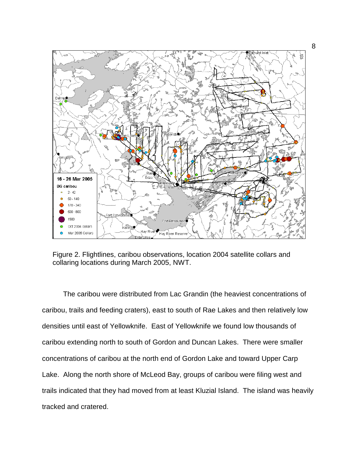

Figure 2. Flightlines, caribou observations, location 2004 satellite collars and collaring locations during March 2005, NWT.

The caribou were distributed from Lac Grandin (the heaviest concentrations of caribou, trails and feeding craters), east to south of Rae Lakes and then relatively low densities until east of Yellowknife. East of Yellowknife we found low thousands of caribou extending north to south of Gordon and Duncan Lakes. There were smaller concentrations of caribou at the north end of Gordon Lake and toward Upper Carp Lake. Along the north shore of McLeod Bay, groups of caribou were filing west and trails indicated that they had moved from at least Kluzial Island. The island was heavily tracked and cratered.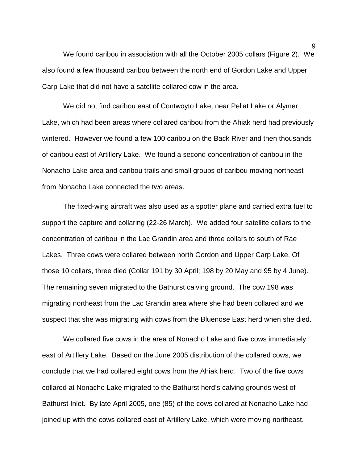We found caribou in association with all the October 2005 collars (Figure 2). We also found a few thousand caribou between the north end of Gordon Lake and Upper Carp Lake that did not have a satellite collared cow in the area.

We did not find caribou east of Contwoyto Lake, near Pellat Lake or Alymer Lake, which had been areas where collared caribou from the Ahiak herd had previously wintered. However we found a few 100 caribou on the Back River and then thousands of caribou east of Artillery Lake. We found a second concentration of caribou in the Nonacho Lake area and caribou trails and small groups of caribou moving northeast from Nonacho Lake connected the two areas.

The fixed-wing aircraft was also used as a spotter plane and carried extra fuel to support the capture and collaring (22-26 March). We added four satellite collars to the concentration of caribou in the Lac Grandin area and three collars to south of Rae Lakes. Three cows were collared between north Gordon and Upper Carp Lake. Of those 10 collars, three died (Collar 191 by 30 April; 198 by 20 May and 95 by 4 June). The remaining seven migrated to the Bathurst calving ground. The cow 198 was migrating northeast from the Lac Grandin area where she had been collared and we suspect that she was migrating with cows from the Bluenose East herd when she died.

We collared five cows in the area of Nonacho Lake and five cows immediately east of Artillery Lake. Based on the June 2005 distribution of the collared cows, we conclude that we had collared eight cows from the Ahiak herd. Two of the five cows collared at Nonacho Lake migrated to the Bathurst herd's calving grounds west of Bathurst Inlet. By late April 2005, one (85) of the cows collared at Nonacho Lake had joined up with the cows collared east of Artillery Lake, which were moving northeast.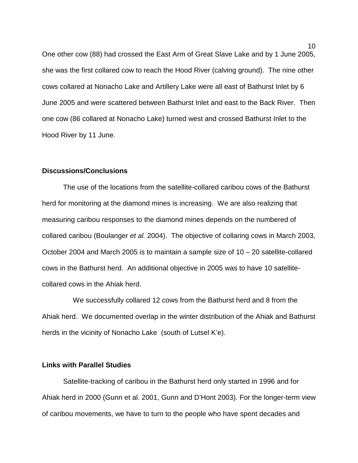One other cow (88) had crossed the East Arm of Great Slave Lake and by 1 June 2005, she was the first collared cow to reach the Hood River (calving ground). The nine other cows collared at Nonacho Lake and Artillery Lake were all east of Bathurst Inlet by 6 June 2005 and were scattered between Bathurst Inlet and east to the Back River. Then one cow (86 collared at Nonacho Lake) turned west and crossed Bathurst Inlet to the Hood River by 11 June.

#### **Discussions/Conclusions**

The use of the locations from the satellite-collared caribou cows of the Bathurst herd for monitoring at the diamond mines is increasing. We are also realizing that measuring caribou responses to the diamond mines depends on the numbered of collared caribou (Boulanger *et al.* 2004). The objective of collaring cows in March 2003, October 2004 and March 2005 is to maintain a sample size of 10 – 20 satellite-collared cows in the Bathurst herd. An additional objective in 2005 was to have 10 satellitecollared cows in the Ahiak herd.

 We successfully collared 12 cows from the Bathurst herd and 8 from the Ahiak herd. We documented overlap in the winter distribution of the Ahiak and Bathurst herds in the vicinity of Nonacho Lake (south of Lutsel K'e).

#### **Links with Parallel Studies**

 Satellite-tracking of caribou in the Bathurst herd only started in 1996 and for Ahiak herd in 2000 (Gunn et al. 2001, Gunn and D'Hont 2003). For the longer-term view of caribou movements, we have to turn to the people who have spent decades and